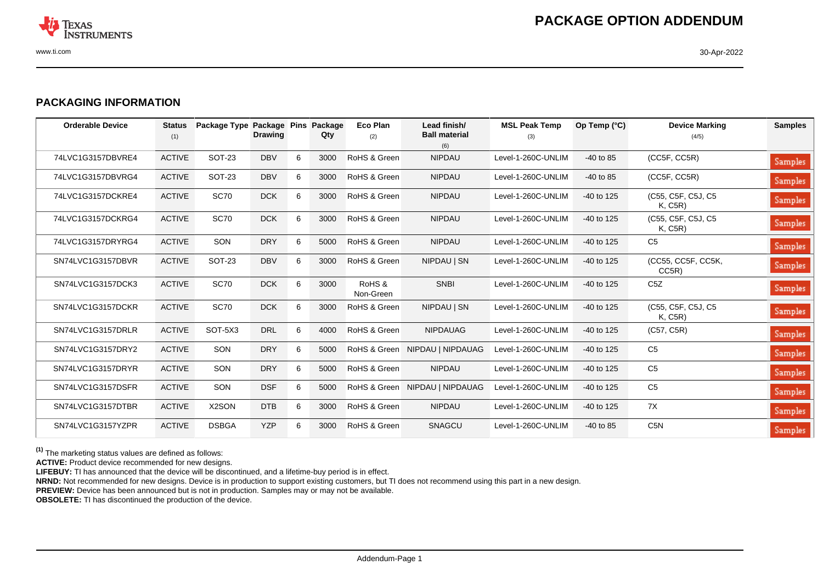

## **PACKAGING INFORMATION**

| <b>Orderable Device</b> | <b>Status</b><br>(1) | Package Type Package Pins | <b>Drawing</b> |   | Package<br>Qty | Eco Plan<br>(2)     | Lead finish/<br><b>Ball material</b><br>(6) | <b>MSL Peak Temp</b><br>(3) | Op Temp (°C) | <b>Device Marking</b><br>(4/5) | <b>Samples</b> |
|-------------------------|----------------------|---------------------------|----------------|---|----------------|---------------------|---------------------------------------------|-----------------------------|--------------|--------------------------------|----------------|
| 74LVC1G3157DBVRE4       | <b>ACTIVE</b>        | <b>SOT-23</b>             | <b>DBV</b>     | 6 | 3000           | RoHS & Green        | <b>NIPDAU</b>                               | Level-1-260C-UNLIM          | $-40$ to 85  | (CC5F, CC5R)                   | <b>Samples</b> |
| 74LVC1G3157DBVRG4       | <b>ACTIVE</b>        | SOT-23                    | <b>DBV</b>     | 6 | 3000           | RoHS & Green        | <b>NIPDAU</b>                               | Level-1-260C-UNLIM          | $-40$ to 85  | (CC5F, CC5R)                   | Samples        |
| 74LVC1G3157DCKRE4       | <b>ACTIVE</b>        | <b>SC70</b>               | <b>DCK</b>     | 6 | 3000           | RoHS & Green        | <b>NIPDAU</b>                               | Level-1-260C-UNLIM          | $-40$ to 125 | (C55, C5F, C5J, C5)<br>K, C5R) | Samples        |
| 74LVC1G3157DCKRG4       | <b>ACTIVE</b>        | <b>SC70</b>               | <b>DCK</b>     | 6 | 3000           | RoHS & Green        | <b>NIPDAU</b>                               | Level-1-260C-UNLIM          | $-40$ to 125 | (C55, C5F, C5J, C5<br>K, C5R)  | Samples        |
| 74LVC1G3157DRYRG4       | <b>ACTIVE</b>        | SON                       | <b>DRY</b>     | 6 | 5000           | RoHS & Green        | <b>NIPDAU</b>                               | Level-1-260C-UNLIM          | $-40$ to 125 | C <sub>5</sub>                 | Samples        |
| SN74LVC1G3157DBVR       | <b>ACTIVE</b>        | <b>SOT-23</b>             | <b>DBV</b>     | 6 | 3000           | RoHS & Green        | NIPDAU   SN                                 | Level-1-260C-UNLIM          | -40 to 125   | (CC55, CC5F, CC5K,<br>CC5R)    | Samples        |
| SN74LVC1G3157DCK3       | <b>ACTIVE</b>        | <b>SC70</b>               | <b>DCK</b>     | 6 | 3000           | RoHS &<br>Non-Green | <b>SNBI</b>                                 | Level-1-260C-UNLIM          | $-40$ to 125 | C <sub>5</sub> Z               | Samples        |
| SN74LVC1G3157DCKR       | <b>ACTIVE</b>        | <b>SC70</b>               | <b>DCK</b>     | 6 | 3000           | RoHS & Green        | NIPDAU   SN                                 | Level-1-260C-UNLIM          | $-40$ to 125 | (C55, C5F, C5J, C5<br>K, C5R)  | Samples        |
| SN74LVC1G3157DRLR       | <b>ACTIVE</b>        | SOT-5X3                   | <b>DRL</b>     | 6 | 4000           | RoHS & Green        | <b>NIPDAUAG</b>                             | Level-1-260C-UNLIM          | $-40$ to 125 | (C57, C5R)                     | Samples        |
| SN74LVC1G3157DRY2       | <b>ACTIVE</b>        | SON                       | <b>DRY</b>     | 6 | 5000           |                     | RoHS & Green NIPDAU   NIPDAUAG              | Level-1-260C-UNLIM          | $-40$ to 125 | C <sub>5</sub>                 | Samples        |
| SN74LVC1G3157DRYR       | <b>ACTIVE</b>        | SON                       | <b>DRY</b>     | 6 | 5000           | RoHS & Green        | <b>NIPDAU</b>                               | Level-1-260C-UNLIM          | $-40$ to 125 | C <sub>5</sub>                 | Samples        |
| SN74LVC1G3157DSFR       | <b>ACTIVE</b>        | SON                       | <b>DSF</b>     | 6 | 5000           |                     | RoHS & Green NIPDAU   NIPDAUAG              | Level-1-260C-UNLIM          | -40 to 125   | C <sub>5</sub>                 | Samples        |
| SN74LVC1G3157DTBR       | <b>ACTIVE</b>        | X2SON                     | <b>DTB</b>     | 6 | 3000           | RoHS & Green        | <b>NIPDAU</b>                               | Level-1-260C-UNLIM          | -40 to 125   | 7X                             | Samples        |
| SN74LVC1G3157YZPR       | <b>ACTIVE</b>        | <b>DSBGA</b>              | <b>YZP</b>     | 6 | 3000           | RoHS & Green        | SNAGCU                                      | Level-1-260C-UNLIM          | $-40$ to 85  | C <sub>5</sub> N               | Samples        |

**(1)** The marketing status values are defined as follows:

**ACTIVE:** Product device recommended for new designs.

**LIFEBUY:** TI has announced that the device will be discontinued, and a lifetime-buy period is in effect.

**NRND:** Not recommended for new designs. Device is in production to support existing customers, but TI does not recommend using this part in a new design.

**PREVIEW:** Device has been announced but is not in production. Samples may or may not be available.

**OBSOLETE:** TI has discontinued the production of the device.